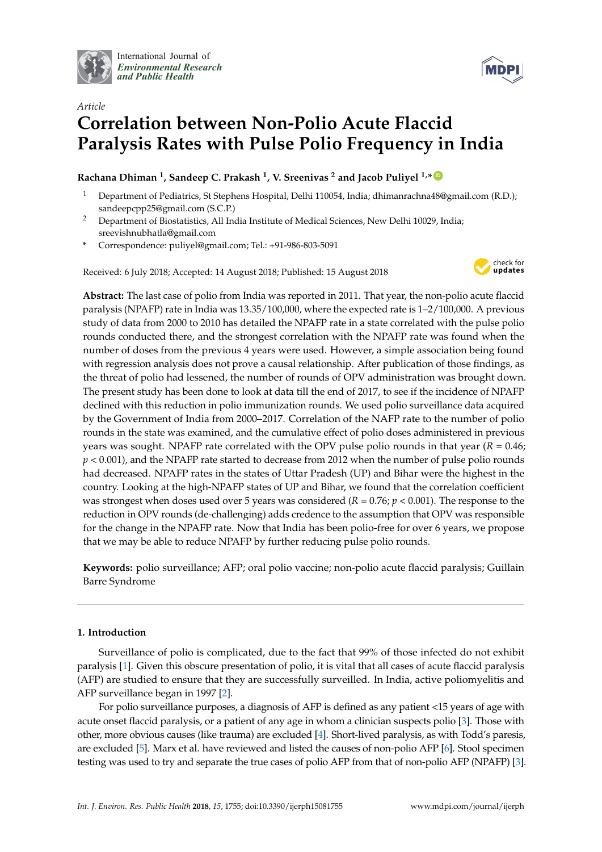

International Journal of *[Environmental Research](http://www.mdpi.com/journal/ijerph) and Public Health*



# *Article* **Correlation between Non-Polio Acute Flaccid Paralysis Rates with Pulse Polio Frequency in India**

# $\boldsymbol{\Gamma}$  Rachana Dhiman <sup>1</sup>, Sandeep C. Prakash <sup>1</sup>, V. Sreenivas <sup>2</sup> and Jacob Puliyel <sup>1,\* (D</sup>

- <sup>1</sup> Department of Pediatrics, St Stephens Hospital, Delhi 110054, India; dhimanrachna48@gmail.com (R.D.); sandeepcpp25@gmail.com (S.C.P.)
- <sup>2</sup> Department of Biostatistics, All India Institute of Medical Sciences, New Delhi 10029, India; sreevishnubhatla@gmail.com
- **\*** Correspondence: puliyel@gmail.com; Tel.: +91-986-803-5091

Received: 6 July 2018; Accepted: 14 August 2018; Published: 15 August 2018



**Abstract:** The last case of polio from India was reported in 2011. That year, the non-polio acute flaccid paralysis (NPAFP) rate in India was 13.35/100,000, where the expected rate is 1–2/100,000. A previous study of data from 2000 to 2010 has detailed the NPAFP rate in a state correlated with the pulse polio rounds conducted there, and the strongest correlation with the NPAFP rate was found when the number of doses from the previous 4 years were used. However, a simple association being found with regression analysis does not prove a causal relationship. After publication of those findings, as the threat of polio had lessened, the number of rounds of OPV administration was brought down. The present study has been done to look at data till the end of 2017, to see if the incidence of NPAFP declined with this reduction in polio immunization rounds. We used polio surveillance data acquired by the Government of India from 2000–2017. Correlation of the NAFP rate to the number of polio rounds in the state was examined, and the cumulative effect of polio doses administered in previous years was sought. NPAFP rate correlated with the OPV pulse polio rounds in that year ( $R = 0.46$ ; *p* < 0.001), and the NPAFP rate started to decrease from 2012 when the number of pulse polio rounds had decreased. NPAFP rates in the states of Uttar Pradesh (UP) and Bihar were the highest in the country. Looking at the high-NPAFP states of UP and Bihar, we found that the correlation coefficient was strongest when doses used over 5 years was considered (*R* = 0.76; *p* < 0.001). The response to the reduction in OPV rounds (de-challenging) adds credence to the assumption that OPV was responsible for the change in the NPAFP rate. Now that India has been polio-free for over 6 years, we propose that we may be able to reduce NPAFP by further reducing pulse polio rounds.

**Keywords:** polio surveillance; AFP; oral polio vaccine; non-polio acute flaccid paralysis; Guillain Barre Syndrome

## **1. Introduction**

Surveillance of polio is complicated, due to the fact that 99% of those infected do not exhibit paralysis [\[1\]](#page-5-0). Given this obscure presentation of polio, it is vital that all cases of acute flaccid paralysis (AFP) are studied to ensure that they are successfully surveilled. In India, active poliomyelitis and AFP surveillance began in 1997 [\[2\]](#page-5-1).

For polio surveillance purposes, a diagnosis of AFP is defined as any patient <15 years of age with acute onset flaccid paralysis, or a patient of any age in whom a clinician suspects polio [\[3\]](#page-5-2). Those with other, more obvious causes (like trauma) are excluded [\[4\]](#page-5-3). Short-lived paralysis, as with Todd's paresis, are excluded [\[5\]](#page-5-4). Marx et al. have reviewed and listed the causes of non-polio AFP [\[6\]](#page-5-5). Stool specimen testing was used to try and separate the true cases of polio AFP from that of non-polio AFP (NPAFP) [\[3\]](#page-5-2).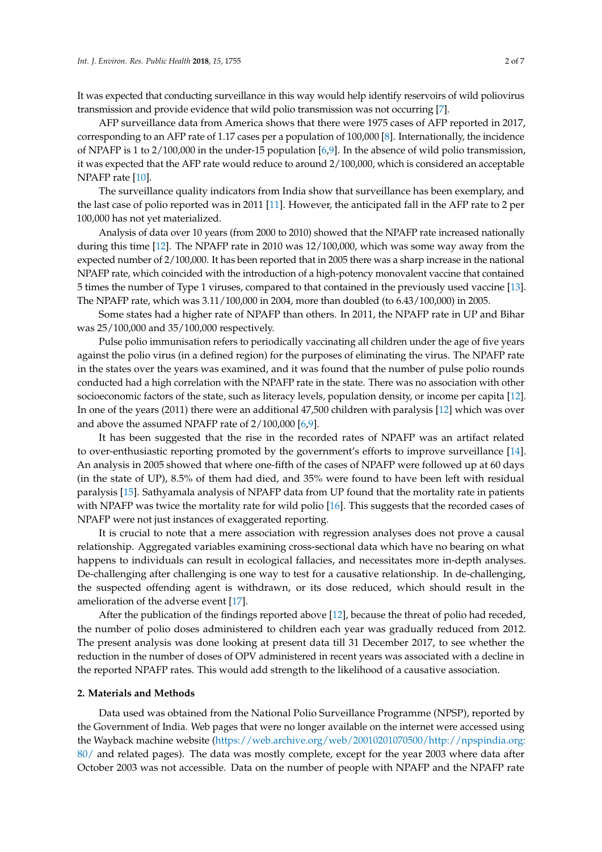It was expected that conducting surveillance in this way would help identify reservoirs of wild poliovirus transmission and provide evidence that wild polio transmission was not occurring [\[7\]](#page-5-6).

AFP surveillance data from America shows that there were 1975 cases of AFP reported in 2017, corresponding to an AFP rate of 1.17 cases per a population of 100,000 [\[8\]](#page-5-7). Internationally, the incidence of NPAFP is 1 to 2/100,000 in the under-15 population [\[6,](#page-5-5)[9\]](#page-5-8). In the absence of wild polio transmission, it was expected that the AFP rate would reduce to around 2/100,000, which is considered an acceptable NPAFP rate [\[10\]](#page-5-9).

The surveillance quality indicators from India show that surveillance has been exemplary, and the last case of polio reported was in 2011 [\[11\]](#page-5-10). However, the anticipated fall in the AFP rate to 2 per 100,000 has not yet materialized.

Analysis of data over 10 years (from 2000 to 2010) showed that the NPAFP rate increased nationally during this time [\[12\]](#page-5-11). The NPAFP rate in 2010 was 12/100,000, which was some way away from the expected number of 2/100,000. It has been reported that in 2005 there was a sharp increase in the national NPAFP rate, which coincided with the introduction of a high-potency monovalent vaccine that contained 5 times the number of Type 1 viruses, compared to that contained in the previously used vaccine [\[13\]](#page-5-12). The NPAFP rate, which was 3.11/100,000 in 2004, more than doubled (to 6.43/100,000) in 2005.

Some states had a higher rate of NPAFP than others. In 2011, the NPAFP rate in UP and Bihar was 25/100,000 and 35/100,000 respectively.

Pulse polio immunisation refers to periodically vaccinating all children under the age of five years against the polio virus (in a defined region) for the purposes of eliminating the virus. The NPAFP rate in the states over the years was examined, and it was found that the number of pulse polio rounds conducted had a high correlation with the NPAFP rate in the state. There was no association with other socioeconomic factors of the state, such as literacy levels, population density, or income per capita [\[12\]](#page-5-11). In one of the years (2011) there were an additional 47,500 children with paralysis [\[12\]](#page-5-11) which was over and above the assumed NPAFP rate of 2/100,000 [\[6,](#page-5-5)[9\]](#page-5-8).

It has been suggested that the rise in the recorded rates of NPAFP was an artifact related to over-enthusiastic reporting promoted by the government's efforts to improve surveillance [\[14\]](#page-5-13). An analysis in 2005 showed that where one-fifth of the cases of NPAFP were followed up at 60 days (in the state of UP), 8.5% of them had died, and 35% were found to have been left with residual paralysis [\[15\]](#page-5-14). Sathyamala analysis of NPAFP data from UP found that the mortality rate in patients with NPAFP was twice the mortality rate for wild polio [\[16\]](#page-5-15). This suggests that the recorded cases of NPAFP were not just instances of exaggerated reporting.

It is crucial to note that a mere association with regression analyses does not prove a causal relationship. Aggregated variables examining cross-sectional data which have no bearing on what happens to individuals can result in ecological fallacies, and necessitates more in-depth analyses. De-challenging after challenging is one way to test for a causative relationship. In de-challenging, the suspected offending agent is withdrawn, or its dose reduced, which should result in the amelioration of the adverse event [\[17\]](#page-5-16).

After the publication of the findings reported above [\[12\]](#page-5-11), because the threat of polio had receded, the number of polio doses administered to children each year was gradually reduced from 2012. The present analysis was done looking at present data till 31 December 2017, to see whether the reduction in the number of doses of OPV administered in recent years was associated with a decline in the reported NPAFP rates. This would add strength to the likelihood of a causative association.

#### **2. Materials and Methods**

Data used was obtained from the National Polio Surveillance Programme (NPSP), reported by the Government of India. Web pages that were no longer available on the internet were accessed using the Wayback machine website [\(https://web.archive.org/web/20010201070500/http://npspindia.org:](https://web.archive.org/web/20010201070500/http://npspindia.org:80/) [80/](https://web.archive.org/web/20010201070500/http://npspindia.org:80/) and related pages). The data was mostly complete, except for the year 2003 where data after October 2003 was not accessible. Data on the number of people with NPAFP and the NPAFP rate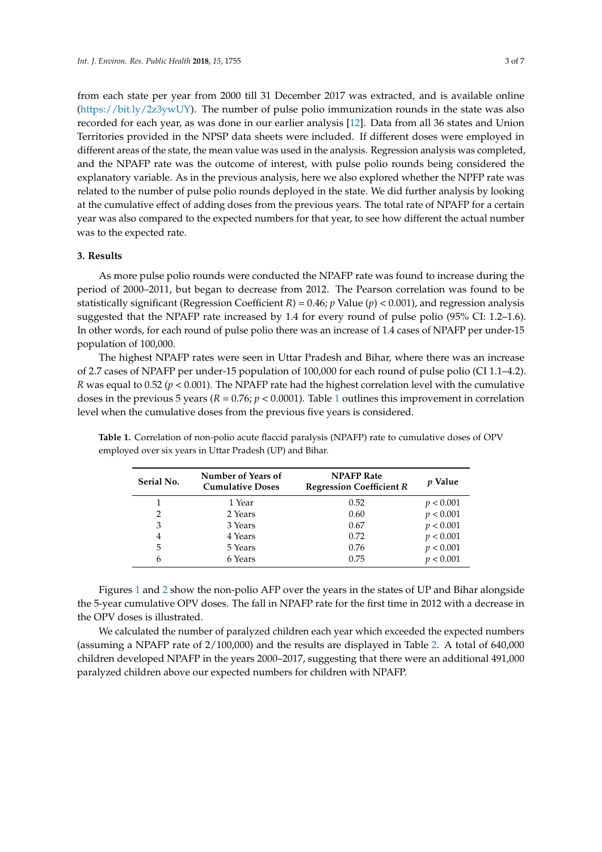from each state per year from 2000 till 31 December 2017 was extracted, and is available online [\(https://bit.ly/2z3ywUY\)](https://bit.ly/2z3ywUY). The number of pulse polio immunization rounds in the state was also recorded for each year, as was done in our earlier analysis [\[12\]](#page-5-11). Data from all 36 states and Union Territories provided in the NPSP data sheets were included. If different doses were employed in different areas of the state, the mean value was used in the analysis. Regression analysis was completed, and the NPAFP rate was the outcome of interest, with pulse polio rounds being considered the explanatory variable. As in the previous analysis, here we also explored whether the NPFP rate was related to the number of pulse polio rounds deployed in the state. We did further analysis by looking at the cumulative effect of adding doses from the previous years. The total rate of NPAFP for a certain year was also compared to the expected numbers for that year, to see how different the actual number was to the expected rate.

#### **3. Results**

As more pulse polio rounds were conducted the NPAFP rate was found to increase during the period of 2000–2011, but began to decrease from 2012. The Pearson correlation was found to be statistically significant (Regression Coefficient *R*) = 0.46; *p* Value (*p*) < 0.001), and regression analysis suggested that the NPAFP rate increased by 1.4 for every round of pulse polio (95% CI: 1.2–1.6). In other words, for each round of pulse polio there was an increase of 1.4 cases of NPAFP per under-15 population of 100,000.

The highest NPAFP rates were seen in Uttar Pradesh and Bihar, where there was an increase of 2.7 cases of NPAFP per under-15 population of 100,000 for each round of pulse polio (CI 1.1–4.2). *R* was equal to 0.52 ( $p < 0.001$ ). The NPAFP rate had the highest correlation level with the cumulative doses in the previous 5 years (*R* = 0.76; *p* < 0.0001). Table [1](#page-2-0) outlines this improvement in correlation level when the cumulative doses from the previous five years is considered.

| Serial No. | Number of Years of<br><b>Cumulative Doses</b> | <b>NPAFP</b> Rate<br><b>Regression Coefficient R</b> | <i>p</i> Value |
|------------|-----------------------------------------------|------------------------------------------------------|----------------|
|            | 1 Year                                        | 0.52                                                 | p < 0.001      |
| 2          | 2 Years                                       | 0.60                                                 | p < 0.001      |
| 3          | 3 Years                                       | 0.67                                                 | p < 0.001      |
| 4          | 4 Years                                       | 0.72                                                 | p < 0.001      |
| 5          | 5 Years                                       | 0.76                                                 | p < 0.001      |
| 6          | 6 Years                                       | 0.75                                                 | p < 0.001      |

<span id="page-2-0"></span>**Table 1.** Correlation of non-polio acute flaccid paralysis (NPAFP) rate to cumulative doses of OPV employed over six years in Uttar Pradesh (UP) and Bihar.

Figures [1](#page-3-0) and [2](#page-3-1) show the non-polio AFP over the years in the states of UP and Bihar alongside the 5-year cumulative OPV doses. The fall in NPAFP rate for the first time in 2012 with a decrease in the OPV doses is illustrated.

We calculated the number of paralyzed children each year which exceeded the expected numbers (assuming a NPAFP rate of 2/100,000) and the results are displayed in Table [2.](#page-3-2) A total of 640,000 children developed NPAFP in the years 2000–2017, suggesting that there were an additional 491,000 paralyzed children above our expected numbers for children with NPAFP.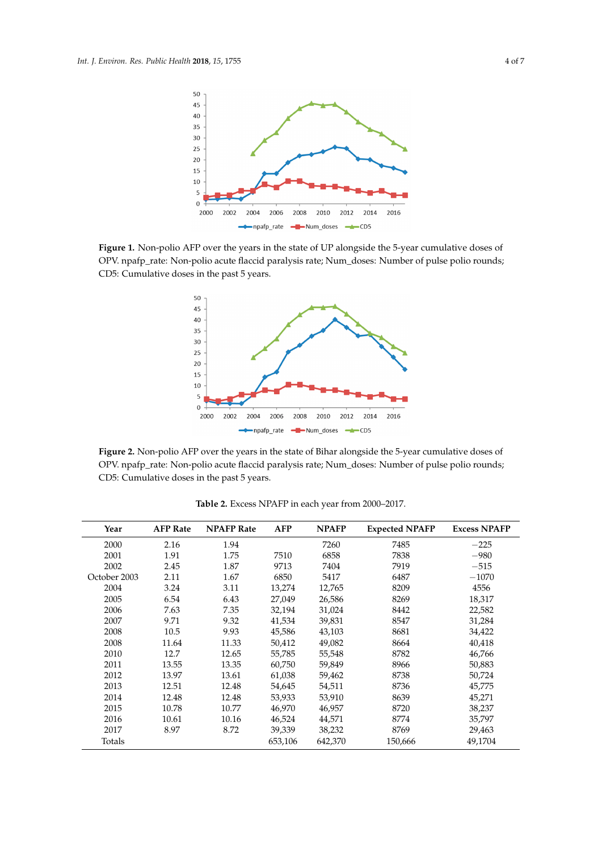<span id="page-3-0"></span>

<span id="page-3-1"></span>**Figure 1.** Non-polio AFP over the years in the state of UP alongside the 5-year cumulative doses of OPV. npafp\_rate: Non-polio acute flaccid paralysis rate; Num\_doses: Number of pulse polio rounds; CD5: Cumulative doses in the past 5 years. CD5: Cumulative doses in the past 5 years. OPV. npafp\_rate: Non-polio acute flaccid paralysis rate; Num\_doses: Number of pulse polio rounds;



**Figure 2.** Non-polio AFP over the years in the state of Bihar alongside the 5-year cumulative doses of **Figure 2.** Non-polio AFP over the years in the state of Bihar alongside the 5-year cumulative doses of OPV. npafp\_rate: Non-polio acute flaccid paralysis rate; Num\_doses: Number of pulse polio rounds; OPV. npafp\_rate: Non-polio acute flaccid paralysis rate; Num\_doses: Number of pulse polio rounds; CD5: Cumulative doses in the past 5 years.

<span id="page-3-2"></span>

| Year         | <b>AFP Rate</b> | <b>NPAFP</b> Rate | <b>AFP</b> | <b>NPAFP</b> | <b>Expected NPAFP</b> | <b>Excess NPAFP</b> |
|--------------|-----------------|-------------------|------------|--------------|-----------------------|---------------------|
| 2000         | 2.16            | 1.94              |            | 7260         | 7485                  | $-225$              |
| 2001         | 1.91            | 1.75              | 7510       | 6858         | 7838                  | $-980$              |
| 2002         | 2.45            | 1.87              | 9713       | 7404         | 7919                  | $-515$              |
| October 2003 | 2.11            | 1.67              | 6850       | 5417         | 6487                  | $-1070$             |
| 2004         | 3.24            | 3.11              | 13,274     | 12,765       | 8209                  | 4556                |
| 2005         | 6.54            | 6.43              | 27,049     | 26,586       | 8269                  | 18,317              |
| 2006         | 7.63            | 7.35              | 32,194     | 31,024       | 8442                  | 22,582              |
| 2007         | 9.71            | 9.32              | 41,534     | 39,831       | 8547                  | 31,284              |
| 2008         | 10.5            | 9.93              | 45,586     | 43,103       | 8681                  | 34,422              |
| 2008         | 11.64           | 11.33             | 50,412     | 49,082       | 8664                  | 40,418              |
| 2010         | 12.7            | 12.65             | 55,785     | 55,548       | 8782                  | 46,766              |
| 2011         | 13.55           | 13.35             | 60,750     | 59,849       | 8966                  | 50,883              |
| 2012         | 13.97           | 13.61             | 61,038     | 59,462       | 8738                  | 50,724              |
| 2013         | 12.51           | 12.48             | 54,645     | 54,511       | 8736                  | 45,775              |
| 2014         | 12.48           | 12.48             | 53,933     | 53,910       | 8639                  | 45,271              |
| 2015         | 10.78           | 10.77             | 46,970     | 46,957       | 8720                  | 38,237              |
| 2016         | 10.61           | 10.16             | 46,524     | 44,571       | 8774                  | 35,797              |
| 2017         | 8.97            | 8.72              | 39,339     | 38,232       | 8769                  | 29,463              |
| Totals       |                 |                   | 653,106    | 642,370      | 150,666               | 49,1704             |

**Table 2.** Excess NPAFP in each year from 2000–2017.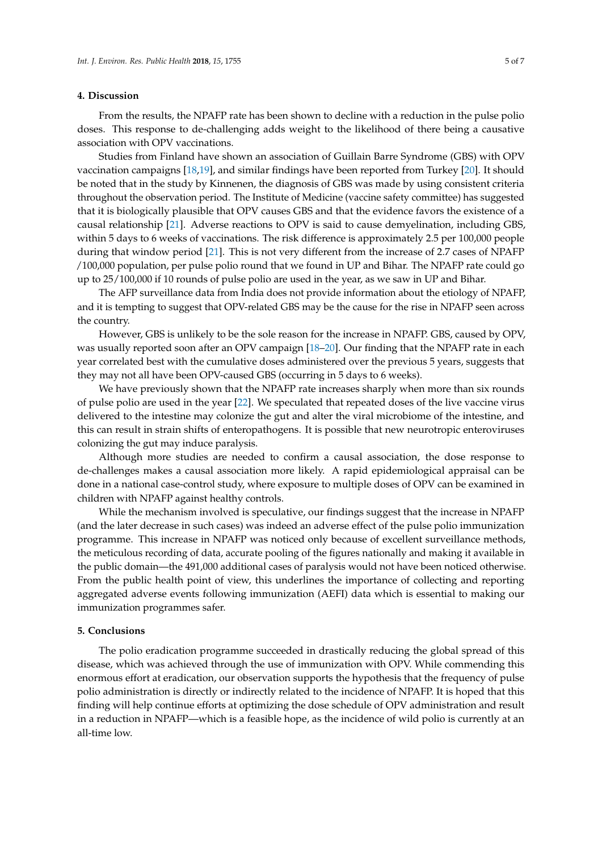#### **4. Discussion**

From the results, the NPAFP rate has been shown to decline with a reduction in the pulse polio doses. This response to de-challenging adds weight to the likelihood of there being a causative association with OPV vaccinations.

Studies from Finland have shown an association of Guillain Barre Syndrome (GBS) with OPV vaccination campaigns [\[18,](#page-5-17)[19\]](#page-5-18), and similar findings have been reported from Turkey [\[20\]](#page-5-19). It should be noted that in the study by Kinnenen, the diagnosis of GBS was made by using consistent criteria throughout the observation period. The Institute of Medicine (vaccine safety committee) has suggested that it is biologically plausible that OPV causes GBS and that the evidence favors the existence of a causal relationship [\[21\]](#page-6-0). Adverse reactions to OPV is said to cause demyelination, including GBS, within 5 days to 6 weeks of vaccinations. The risk difference is approximately 2.5 per 100,000 people during that window period [\[21\]](#page-6-0). This is not very different from the increase of 2.7 cases of NPAFP /100,000 population, per pulse polio round that we found in UP and Bihar. The NPAFP rate could go up to 25/100,000 if 10 rounds of pulse polio are used in the year, as we saw in UP and Bihar.

The AFP surveillance data from India does not provide information about the etiology of NPAFP, and it is tempting to suggest that OPV-related GBS may be the cause for the rise in NPAFP seen across the country.

However, GBS is unlikely to be the sole reason for the increase in NPAFP. GBS, caused by OPV, was usually reported soon after an OPV campaign [\[18](#page-5-17)[–20\]](#page-5-19). Our finding that the NPAFP rate in each year correlated best with the cumulative doses administered over the previous 5 years, suggests that they may not all have been OPV-caused GBS (occurring in 5 days to 6 weeks).

We have previously shown that the NPAFP rate increases sharply when more than six rounds of pulse polio are used in the year [\[22\]](#page-6-1). We speculated that repeated doses of the live vaccine virus delivered to the intestine may colonize the gut and alter the viral microbiome of the intestine, and this can result in strain shifts of enteropathogens. It is possible that new neurotropic enteroviruses colonizing the gut may induce paralysis.

Although more studies are needed to confirm a causal association, the dose response to de-challenges makes a causal association more likely. A rapid epidemiological appraisal can be done in a national case-control study, where exposure to multiple doses of OPV can be examined in children with NPAFP against healthy controls.

While the mechanism involved is speculative, our findings suggest that the increase in NPAFP (and the later decrease in such cases) was indeed an adverse effect of the pulse polio immunization programme. This increase in NPAFP was noticed only because of excellent surveillance methods, the meticulous recording of data, accurate pooling of the figures nationally and making it available in the public domain—the 491,000 additional cases of paralysis would not have been noticed otherwise. From the public health point of view, this underlines the importance of collecting and reporting aggregated adverse events following immunization (AEFI) data which is essential to making our immunization programmes safer.

#### **5. Conclusions**

The polio eradication programme succeeded in drastically reducing the global spread of this disease, which was achieved through the use of immunization with OPV. While commending this enormous effort at eradication, our observation supports the hypothesis that the frequency of pulse polio administration is directly or indirectly related to the incidence of NPAFP. It is hoped that this finding will help continue efforts at optimizing the dose schedule of OPV administration and result in a reduction in NPAFP—which is a feasible hope, as the incidence of wild polio is currently at an all-time low.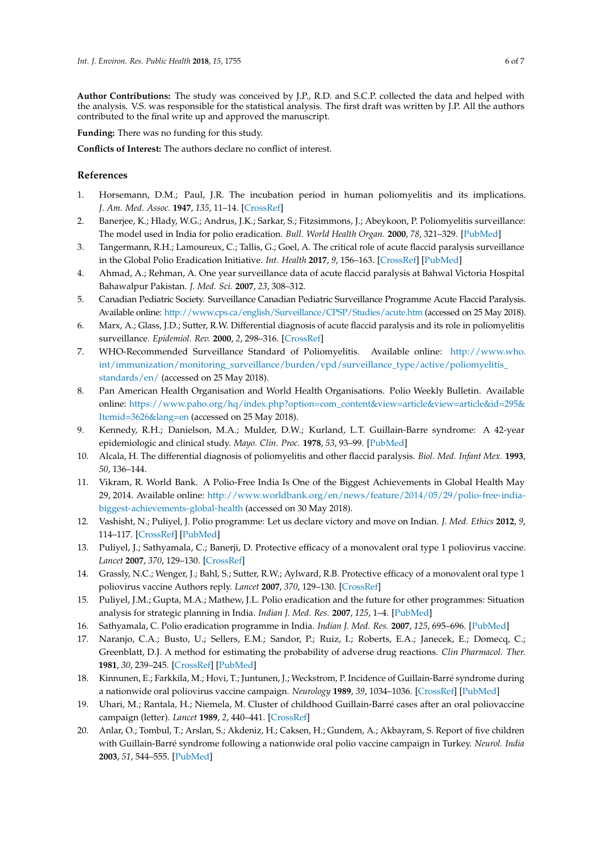**Author Contributions:** The study was conceived by J.P., R.D. and S.C.P. collected the data and helped with the analysis. V.S. was responsible for the statistical analysis. The first draft was written by J.P. All the authors contributed to the final write up and approved the manuscript.

**Funding:** There was no funding for this study.

**Conflicts of Interest:** The authors declare no conflict of interest.

## **References**

- <span id="page-5-0"></span>1. Horsemann, D.M.; Paul, J.R. The incubation period in human poliomyelitis and its implications. *J. Am. Med. Assoc.* **1947**, *135*, 11–14. [\[CrossRef\]](http://dx.doi.org/10.1001/jama.1947.02890010013004)
- <span id="page-5-1"></span>2. Banerjee, K.; Hlady, W.G.; Andrus, J.K.; Sarkar, S.; Fitzsimmons, J.; Abeykoon, P. Poliomyelitis surveillance: The model used in India for polio eradication. *Bull. World Health Organ.* **2000**, *78*, 321–329. [\[PubMed\]](http://www.ncbi.nlm.nih.gov/pubmed/10812728)
- <span id="page-5-2"></span>3. Tangermann, R.H.; Lamoureux, C.; Tallis, G.; Goel, A. The critical role of acute flaccid paralysis surveillance in the Global Polio Eradication Initiative. *Int. Health* **2017**, *9*, 156–163. [\[CrossRef\]](http://dx.doi.org/10.1093/inthealth/ihx016) [\[PubMed\]](http://www.ncbi.nlm.nih.gov/pubmed/28582560)
- <span id="page-5-3"></span>4. Ahmad, A.; Rehman, A. One year surveillance data of acute flaccid paralysis at Bahwal Victoria Hospital Bahawalpur Pakistan. *J. Med. Sci.* **2007**, *23*, 308–312.
- <span id="page-5-4"></span>5. Canadian Pediatric Society. Surveillance Canadian Pediatric Surveillance Programme Acute Flaccid Paralysis. Available online: <http://www.cps.ca/english/Surveillance/CPSP/Studies/acute.htm> (accessed on 25 May 2018).
- <span id="page-5-5"></span>6. Marx, A.; Glass, J.D.; Sutter, R.W. Differential diagnosis of acute flaccid paralysis and its role in poliomyelitis surveillance. *Epidemiol. Rev.* **2000**, *2*, 298–316. [\[CrossRef\]](http://dx.doi.org/10.1093/oxfordjournals.epirev.a018041)
- <span id="page-5-6"></span>7. WHO-Recommended Surveillance Standard of Poliomyelitis. Available online: [http://www.who.](http://www.who.int/immunization/monitoring_surveillance/burden/vpd/surveillance_type/active/poliomyelitis_standards/en/) [int/immunization/monitoring\\_surveillance/burden/vpd/surveillance\\_type/active/poliomyelitis\\_](http://www.who.int/immunization/monitoring_surveillance/burden/vpd/surveillance_type/active/poliomyelitis_standards/en/) [standards/en/](http://www.who.int/immunization/monitoring_surveillance/burden/vpd/surveillance_type/active/poliomyelitis_standards/en/) (accessed on 25 May 2018).
- <span id="page-5-7"></span>8. Pan American Health Organisation and World Health Organisations. Polio Weekly Bulletin. Available online: [https://www.paho.org/hq/index.php?option=com\\_content&view=article&view=article&id=295&](https://www.paho.org/hq/index.php?option=com_content&view=article&view=article&id=295&Itemid=3626&lang=en) [Itemid=3626&lang=en](https://www.paho.org/hq/index.php?option=com_content&view=article&view=article&id=295&Itemid=3626&lang=en) (accessed on 25 May 2018).
- <span id="page-5-8"></span>9. Kennedy, R.H.; Danielson, M.A.; Mulder, D.W.; Kurland, L.T. Guillain-Barre syndrome: A 42-year epidemiologic and clinical study. *Mayo. Clin. Proc.* **1978**, *53*, 93–99. [\[PubMed\]](http://www.ncbi.nlm.nih.gov/pubmed/621963)
- <span id="page-5-9"></span>10. Alcala, H. The differential diagnosis of poliomyelitis and other flaccid paralysis. *Biol. Med. Infant Mex.* **1993**, *50*, 136–144.
- <span id="page-5-10"></span>11. Vikram, R. World Bank. A Polio-Free India Is One of the Biggest Achievements in Global Health May 29, 2014. Available online: [http://www.worldbank.org/en/news/feature/2014/05/29/polio-free-india](http://www.worldbank.org/en/news/feature/2014/05/29/polio-free-india-biggest-achievements-global-health)[biggest-achievements-global-health](http://www.worldbank.org/en/news/feature/2014/05/29/polio-free-india-biggest-achievements-global-health) (accessed on 30 May 2018).
- <span id="page-5-11"></span>12. Vashisht, N.; Puliyel, J. Polio programme: Let us declare victory and move on Indian. *J. Med. Ethics* **2012**, *9*, 114–117. [\[CrossRef\]](http://dx.doi.org/10.20529/IJME.2012.035) [\[PubMed\]](http://www.ncbi.nlm.nih.gov/pubmed/22591873)
- <span id="page-5-12"></span>13. Puliyel, J.; Sathyamala, C.; Banerji, D. Protective efficacy of a monovalent oral type 1 poliovirus vaccine. *Lancet* **2007**, *370*, 129–130. [\[CrossRef\]](http://dx.doi.org/10.1016/S0140-6736(07)61075-7)
- <span id="page-5-13"></span>14. Grassly, N.C.; Wenger, J.; Bahl, S.; Sutter, R.W.; Aylward, R.B. Protective efficacy of a monovalent oral type 1 poliovirus vaccine Authors reply. *Lancet* **2007**, *370*, 129–130. [\[CrossRef\]](http://dx.doi.org/10.1016/S0140-6736(07)61077-0)
- <span id="page-5-14"></span>15. Puliyel, J.M.; Gupta, M.A.; Mathew, J.L. Polio eradication and the future for other programmes: Situation analysis for strategic planning in India. *Indian J. Med. Res.* **2007**, *125*, 1–4. [\[PubMed\]](http://www.ncbi.nlm.nih.gov/pubmed/17332648)
- <span id="page-5-15"></span>16. Sathyamala, C. Polio eradication programme in India. *Indian J. Med. Res.* **2007**, *125*, 695–696. [\[PubMed\]](http://www.ncbi.nlm.nih.gov/pubmed/17642508)
- <span id="page-5-16"></span>17. Naranjo, C.A.; Busto, U.; Sellers, E.M.; Sandor, P.; Ruiz, I.; Roberts, E.A.; Janecek, E.; Domecq, C.; Greenblatt, D.J. A method for estimating the probability of adverse drug reactions. *Clin Pharmacol. Ther.* **1981**, *30*, 239–245. [\[CrossRef\]](http://dx.doi.org/10.1038/clpt.1981.154) [\[PubMed\]](http://www.ncbi.nlm.nih.gov/pubmed/7249508)
- <span id="page-5-17"></span>18. Kinnunen, E.; Farkkila, M.; Hovi, T.; Juntunen, J.; Weckstrom, P. Incidence of Guillain-Barré syndrome during a nationwide oral poliovirus vaccine campaign. *Neurology* **1989**, *39*, 1034–1036. [\[CrossRef\]](http://dx.doi.org/10.1212/WNL.39.8.1034) [\[PubMed\]](http://www.ncbi.nlm.nih.gov/pubmed/2788248)
- <span id="page-5-18"></span>19. Uhari, M.; Rantala, H.; Niemela, M. Cluster of childhood Guillain-Barré cases after an oral poliovaccine campaign (letter). *Lancet* **1989**, *2*, 440–441. [\[CrossRef\]](http://dx.doi.org/10.1016/S0140-6736(89)90609-0)
- <span id="page-5-19"></span>20. Anlar, O.; Tombul, T.; Arslan, S.; Akdeniz, H.; Caksen, H.; Gundem, A.; Akbayram, S. Report of five children with Guillain-Barré syndrome following a nationwide oral polio vaccine campaign in Turkey. *Neurol. India* **2003**, *51*, 544–555. [\[PubMed\]](http://www.ncbi.nlm.nih.gov/pubmed/14742945)